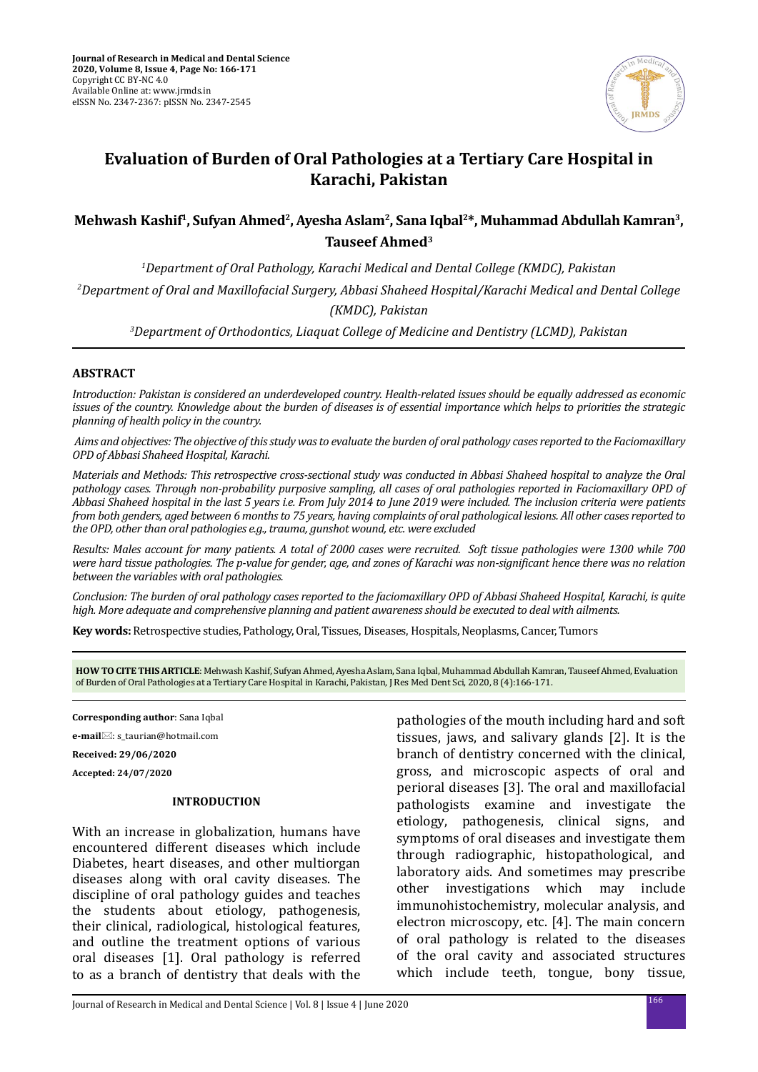

# **Evaluation of Burden of Oral Pathologies at a Tertiary Care Hospital in Karachi, Pakistan**

## Mehwash Kashif<sup>1</sup>, Sufyan Ahmed<sup>2</sup>, Ayesha Aslam<sup>2</sup>, Sana Iqbal<sup>2\*</sup>, Muhammad Abdullah Kamran<sup>3</sup>, **Tauseef Ahmed3**

*1 Department of Oral Pathology, Karachi Medical and Dental College (KMDC), Pakistan 2 Department of Oral and Maxillofacial Surgery, Abbasi Shaheed Hospital/Karachi Medical and Dental College (KMDC), Pakistan*

*3 Department of Orthodontics, Liaquat College of Medicine and Dentistry (LCMD), Pakistan*

### **ABSTRACT**

*Introduction: Pakistan is considered an underdeveloped country. Health-related issues should be equally addressed as economic issues of the country. Knowledge about the burden of diseases is of essential importance which helps to priorities the strategic planning of health policy in the country.*

 *Aims and objectives: The objective of this study was to evaluate the burden of oral pathology cases reported to the Faciomaxillary OPD of Abbasi Shaheed Hospital, Karachi.* 

*Materials and Methods: This retrospective cross-sectional study was conducted in Abbasi Shaheed hospital to analyze the Oral pathology cases. Through non-probability purposive sampling, all cases of oral pathologies reported in Faciomaxillary OPD of Abbasi Shaheed hospital in the last 5 years i.e. From July 2014 to June 2019 were included. The inclusion criteria were patients from both genders, aged between 6 months to 75 years, having complaints of oral pathological lesions. All other cases reported to the OPD, other than oral pathologies e.g., trauma, gunshot wound, etc. were excluded*

*Results: Males account for many patients. A total of 2000 cases were recruited. Soft tissue pathologies were 1300 while 700 were hard tissue pathologies. The p-value for gender, age, and zones of Karachi was non-significant hence there was no relation between the variables with oral pathologies.* 

*Conclusion: The burden of oral pathology cases reported to the faciomaxillary OPD of Abbasi Shaheed Hospital, Karachi, is quite high. More adequate and comprehensive planning and patient awareness should be executed to deal with ailments.*

**Key words:** Retrospective studies, Pathology, Oral, Tissues, Diseases, Hospitals, Neoplasms, Cancer, Tumors

**HOW TO CITE THIS ARTICLE**: Mehwash Kashif, Sufyan Ahmed, Ayesha Aslam, Sana Iqbal, Muhammad Abdullah Kamran, Tauseef Ahmed, Evaluation of Burden of Oral Pathologies at a Tertiary Care Hospital in Karachi, Pakistan, J Res Med Dent Sci, 2020, 8 (4):166-171.

**Corresponding author**: Sana Iqbal

**e-mail**⊠: s\_taurian@hotmail.com

**Received: 29/06/2020**

**Accepted: 24/07/2020**

### **INTRODUCTION**

With an increase in globalization, humans have encountered different diseases which include Diabetes, heart diseases, and other multiorgan diseases along with oral cavity diseases. The discipline of oral pathology guides and teaches the students about etiology, pathogenesis, their clinical, radiological, histological features, and outline the treatment options of various oral diseases [1]. Oral pathology is referred to as a branch of dentistry that deals with the

pathologies of the mouth including hard and soft tissues, jaws, and salivary glands [2]. It is the branch of dentistry concerned with the clinical, gross, and microscopic aspects of oral and perioral diseases [3]. The oral and maxillofacial pathologists examine and investigate the etiology, pathogenesis, clinical signs, and symptoms of oral diseases and investigate them through radiographic, histopathological, and laboratory aids. And sometimes may prescribe other investigations which may include immunohistochemistry, molecular analysis, and electron microscopy, etc. [4]. The main concern of oral pathology is related to the diseases of the oral cavity and associated structures which include teeth, tongue, bony tissue,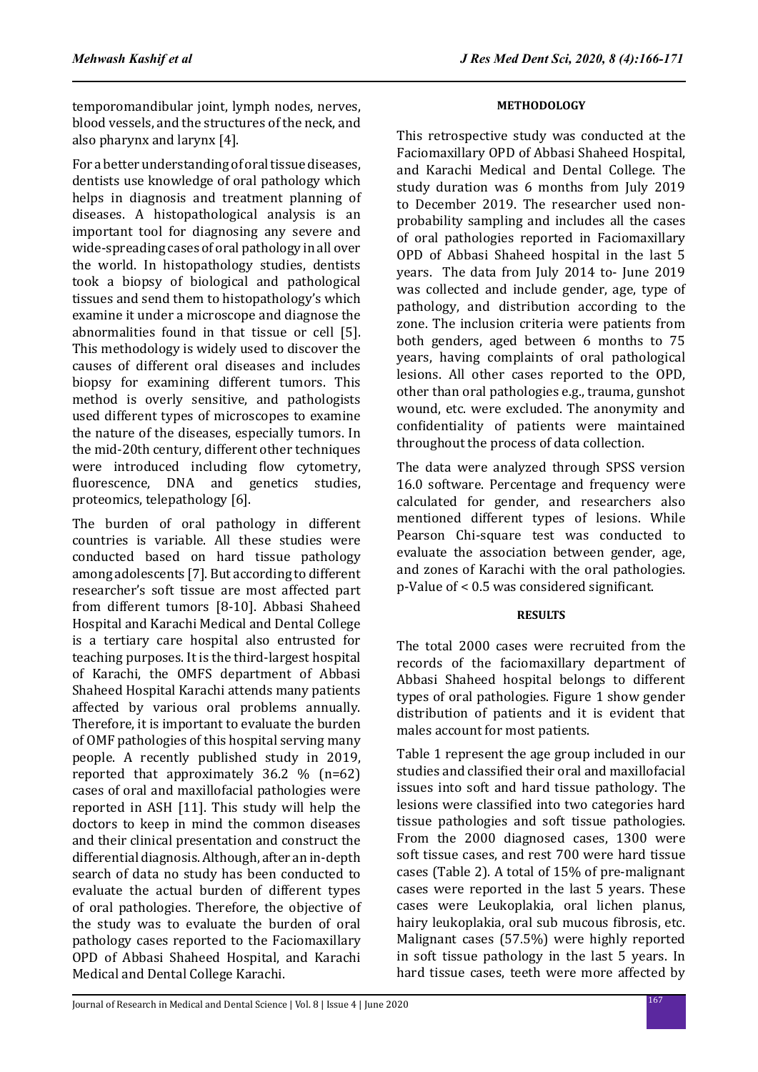temporomandibular joint, lymph nodes, nerves, blood vessels, and the structures of the neck, and also pharynx and larynx [4].

For a better understanding of oral tissue diseases, dentists use knowledge of oral pathology which helps in diagnosis and treatment planning of diseases. A histopathological analysis is an important tool for diagnosing any severe and wide-spreading cases of oral pathology in all over the world. In histopathology studies, dentists took a biopsy of biological and pathological tissues and send them to histopathology's which examine it under a microscope and diagnose the abnormalities found in that tissue or cell [5]. This methodology is widely used to discover the causes of different oral diseases and includes biopsy for examining different tumors. This method is overly sensitive, and pathologists used different types of microscopes to examine the nature of the diseases, especially tumors. In the mid-20th century, different other techniques were introduced including flow cytometry, fluorescence, DNA and genetics studies, proteomics, telepathology [6].

The burden of oral pathology in different countries is variable. All these studies were conducted based on hard tissue pathology among adolescents [7]. But according to different researcher's soft tissue are most affected part from different tumors [8-10]. Abbasi Shaheed Hospital and Karachi Medical and Dental College is a tertiary care hospital also entrusted for teaching purposes. It is the third-largest hospital of Karachi, the OMFS department of Abbasi Shaheed Hospital Karachi attends many patients affected by various oral problems annually. Therefore, it is important to evaluate the burden of OMF pathologies of this hospital serving many people. A recently published study in 2019, reported that approximately 36.2 % (n=62) cases of oral and maxillofacial pathologies were reported in ASH [11]. This study will help the doctors to keep in mind the common diseases and their clinical presentation and construct the differential diagnosis. Although, after an in-depth search of data no study has been conducted to evaluate the actual burden of different types of oral pathologies. Therefore, the objective of the study was to evaluate the burden of oral pathology cases reported to the Faciomaxillary OPD of Abbasi Shaheed Hospital, and Karachi Medical and Dental College Karachi.

This retrospective study was conducted at the Faciomaxillary OPD of Abbasi Shaheed Hospital, and Karachi Medical and Dental College. The study duration was 6 months from July 2019 to December 2019. The researcher used nonprobability sampling and includes all the cases of oral pathologies reported in Faciomaxillary OPD of Abbasi Shaheed hospital in the last 5 years. The data from July 2014 to- June 2019 was collected and include gender, age, type of pathology, and distribution according to the zone. The inclusion criteria were patients from both genders, aged between 6 months to 75 years, having complaints of oral pathological lesions. All other cases reported to the OPD, other than oral pathologies e.g., trauma, gunshot wound, etc. were excluded. The anonymity and confidentiality of patients were maintained throughout the process of data collection.

The data were analyzed through SPSS version 16.0 software. Percentage and frequency were calculated for gender, and researchers also mentioned different types of lesions. While Pearson Chi-square test was conducted to evaluate the association between gender, age, and zones of Karachi with the oral pathologies. p-Value of < 0.5 was considered significant.

### **RESULTS**

The total 2000 cases were recruited from the records of the faciomaxillary department of Abbasi Shaheed hospital belongs to different types of oral pathologies. Figure 1 show gender distribution of patients and it is evident that males account for most patients.

Table 1 represent the age group included in our studies and classified their oral and maxillofacial issues into soft and hard tissue pathology. The lesions were classified into two categories hard tissue pathologies and soft tissue pathologies. From the 2000 diagnosed cases, 1300 were soft tissue cases, and rest 700 were hard tissue cases (Table 2). A total of 15% of pre-malignant cases were reported in the last 5 years. These cases were Leukoplakia, oral lichen planus, hairy leukoplakia, oral sub mucous fibrosis, etc. Malignant cases (57.5%) were highly reported in soft tissue pathology in the last 5 years. In hard tissue cases, teeth were more affected by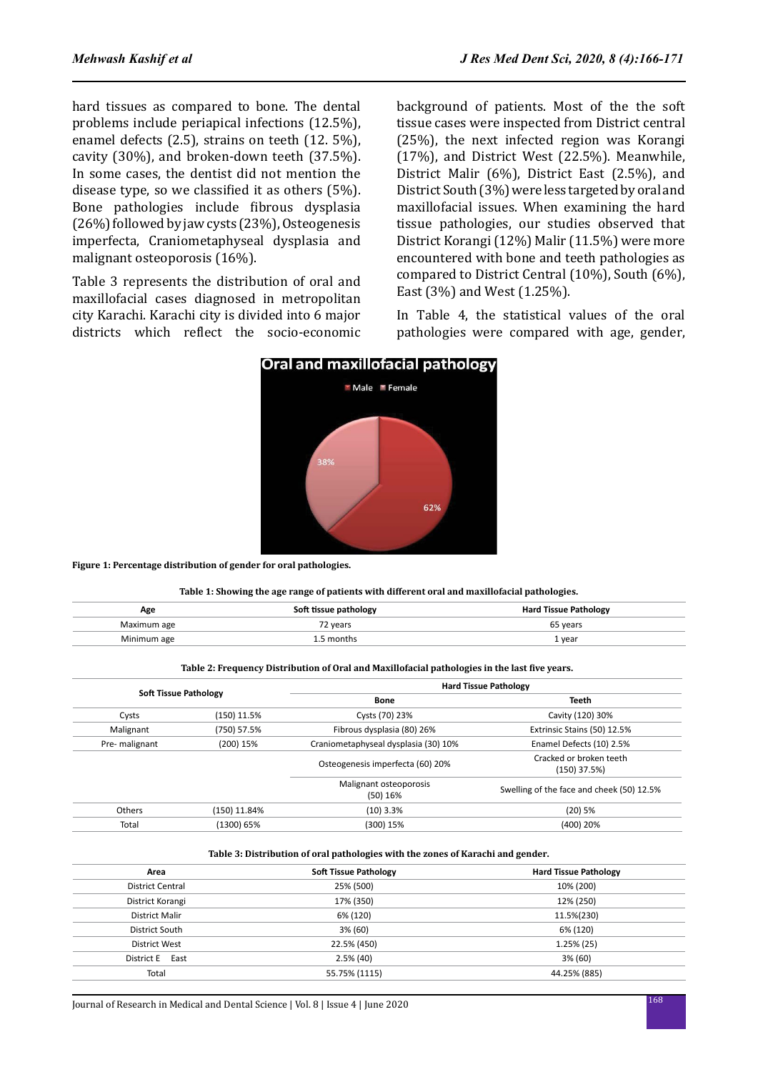hard tissues as compared to bone. The dental problems include periapical infections (12.5%), enamel defects (2.5), strains on teeth (12. 5%), cavity (30%), and broken-down teeth (37.5%). In some cases, the dentist did not mention the disease type, so we classified it as others (5%). Bone pathologies include fibrous dysplasia (26%) followed by jaw cysts (23%), Osteogenesis imperfecta, Craniometaphyseal dysplasia and malignant osteoporosis (16%).

Table 3 represents the distribution of oral and maxillofacial cases diagnosed in metropolitan city Karachi. Karachi city is divided into 6 major districts which reflect the socio-economic background of patients. Most of the the soft tissue cases were inspected from District central (25%), the next infected region was Korangi (17%), and District West (22.5%). Meanwhile, District Malir (6%), District East (2.5%), and District South (3%) were less targeted by oral and maxillofacial issues. When examining the hard tissue pathologies, our studies observed that District Korangi (12%) Malir (11.5%) were more encountered with bone and teeth pathologies as compared to District Central (10%), South (6%), East (3%) and West (1.25%).

In Table 4, the statistical values of the oral pathologies were compared with age, gender,



**Figure 1: Percentage distribution of gender for oral pathologies.**

#### **Table 1: Showing the age range of patients with different oral and maxillofacial pathologies.**

62%

| Age         | Soft tissue pathology | <b>Hard Tissue Pathology</b> |
|-------------|-----------------------|------------------------------|
| Maximum age | 72 vears              | 65 vears                     |
| Minimum age | months                | 1 year                       |

#### **Table 2: Frequency Distribution of Oral and Maxillofacial pathologies in the last five years.**

| <b>Soft Tissue Pathology</b> |                                    | <b>Hard Tissue Pathology</b>              |                                           |
|------------------------------|------------------------------------|-------------------------------------------|-------------------------------------------|
|                              |                                    | Bone                                      | <b>Teeth</b>                              |
| Cysts                        | (150) 11.5%                        | Cysts (70) 23%                            | Cavity (120) 30%                          |
| Malignant                    | (750) 57.5%                        | Fibrous dysplasia (80) 26%                | Extrinsic Stains (50) 12.5%               |
| Pre- malignant               | (200) 15%                          | Craniometaphyseal dysplasia (30) 10%      | Enamel Defects (10) 2.5%                  |
|                              |                                    | Osteogenesis imperfecta (60) 20%          | Cracked or broken teeth<br>$(150)$ 37.5%) |
|                              | Malignant osteoporosis<br>(50) 16% | Swelling of the face and cheek (50) 12.5% |                                           |
| Others                       | (150) 11.84%                       | $(10)$ 3.3%                               | $(20)$ 5%                                 |
| Total                        | (1300) 65%                         | (300) 15%                                 | (400) 20%                                 |

#### **Table 3: Distribution of oral pathologies with the zones of Karachi and gender.**

| Area                    | <b>Soft Tissue Pathology</b> | <b>Hard Tissue Pathology</b> |
|-------------------------|------------------------------|------------------------------|
| <b>District Central</b> | 25% (500)                    | 10% (200)                    |
| District Korangi        | 17% (350)                    | 12% (250)                    |
| District Malir          | 6% (120)                     | 11.5%(230)                   |
| District South          | 3% (60)                      | 6% (120)                     |
| District West           | 22.5% (450)                  | $1.25\%$ (25)                |
| District E East         | $2.5\%$ (40)                 | 3% (60)                      |
| Total                   | 55.75% (1115)                | 44.25% (885)                 |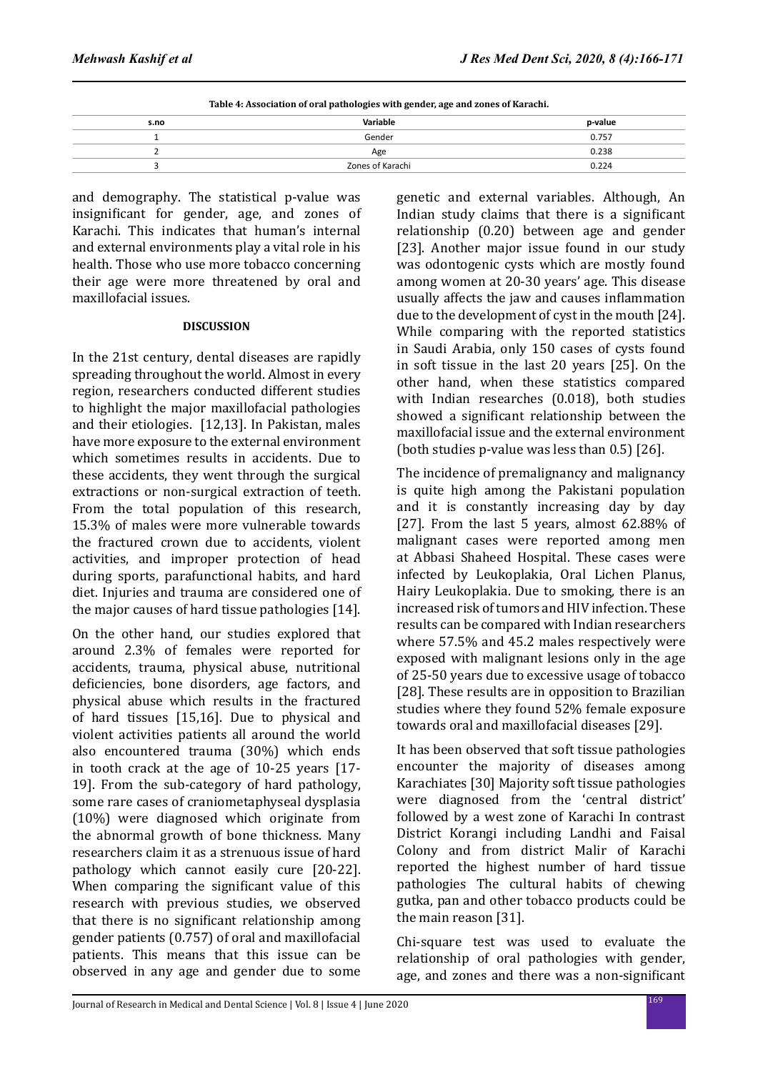| Table 4: Association of oral pathologies with gender, age and zones of Karachi. |                  |         |  |  |
|---------------------------------------------------------------------------------|------------------|---------|--|--|
| s.no                                                                            | Variable         | p-value |  |  |
|                                                                                 | Gender           | 0.757   |  |  |
|                                                                                 | Age              | 0.238   |  |  |
|                                                                                 | Zones of Karachi | 0.224   |  |  |

and demography. The statistical p-value was insignificant for gender, age, and zones of Karachi. This indicates that human's internal and external environments play a vital role in his health. Those who use more tobacco concerning their age were more threatened by oral and maxillofacial issues.

### **DISCUSSION**

In the 21st century, dental diseases are rapidly spreading throughout the world. Almost in every region, researchers conducted different studies to highlight the major maxillofacial pathologies and their etiologies. [12,13]. In Pakistan, males have more exposure to the external environment which sometimes results in accidents. Due to these accidents, they went through the surgical extractions or non-surgical extraction of teeth. From the total population of this research, 15.3% of males were more vulnerable towards the fractured crown due to accidents, violent activities, and improper protection of head during sports, parafunctional habits, and hard diet. Injuries and trauma are considered one of the major causes of hard tissue pathologies [14].

On the other hand, our studies explored that around 2.3% of females were reported for accidents, trauma, physical abuse, nutritional deficiencies, bone disorders, age factors, and physical abuse which results in the fractured of hard tissues [15,16]. Due to physical and violent activities patients all around the world also encountered trauma (30%) which ends in tooth crack at the age of 10-25 years [17- 19]. From the sub-category of hard pathology, some rare cases of craniometaphyseal dysplasia (10%) were diagnosed which originate from the abnormal growth of bone thickness. Many researchers claim it as a strenuous issue of hard pathology which cannot easily cure [20-22]. When comparing the significant value of this research with previous studies, we observed that there is no significant relationship among gender patients (0.757) of oral and maxillofacial patients. This means that this issue can be observed in any age and gender due to some genetic and external variables. Although, An Indian study claims that there is a significant relationship (0.20) between age and gender [23]. Another major issue found in our study was odontogenic cysts which are mostly found among women at 20-30 years' age. This disease usually affects the jaw and causes inflammation due to the development of cyst in the mouth [24]. While comparing with the reported statistics in Saudi Arabia, only 150 cases of cysts found in soft tissue in the last 20 years [25]. On the other hand, when these statistics compared with Indian researches (0.018), both studies showed a significant relationship between the maxillofacial issue and the external environment (both studies p-value was less than 0.5) [26].

The incidence of premalignancy and malignancy is quite high among the Pakistani population and it is constantly increasing day by day [27]. From the last 5 years, almost 62.88% of malignant cases were reported among men at Abbasi Shaheed Hospital. These cases were infected by Leukoplakia, Oral Lichen Planus, Hairy Leukoplakia. Due to smoking, there is an increased risk of tumors and HIV infection. These results can be compared with Indian researchers where 57.5% and 45.2 males respectively were exposed with malignant lesions only in the age of 25-50 years due to excessive usage of tobacco [28]. These results are in opposition to Brazilian studies where they found 52% female exposure towards oral and maxillofacial diseases [29].

It has been observed that soft tissue pathologies encounter the majority of diseases among Karachiates [30] Majority soft tissue pathologies were diagnosed from the 'central district' followed by a west zone of Karachi In contrast District Korangi including Landhi and Faisal Colony and from district Malir of Karachi reported the highest number of hard tissue pathologies The cultural habits of chewing gutka, pan and other tobacco products could be the main reason [31].

Chi-square test was used to evaluate the relationship of oral pathologies with gender, age, and zones and there was a non-significant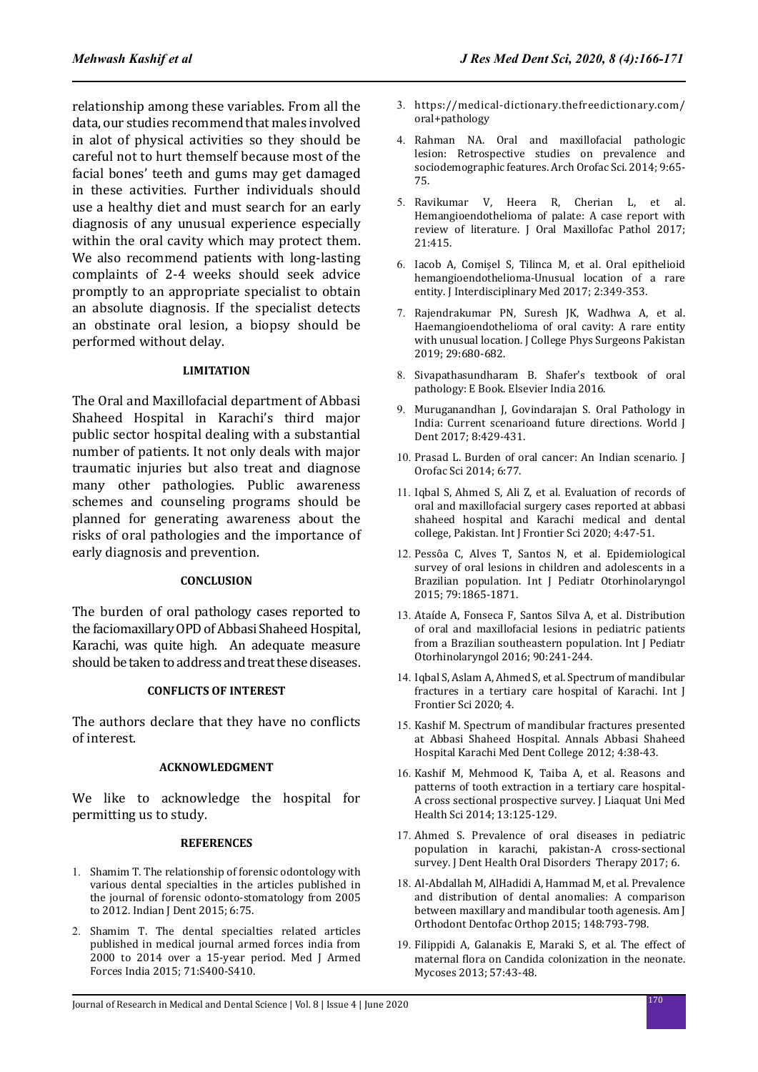relationship among these variables. From all the data, our studies recommend that males involved in alot of physical activities so they should be careful not to hurt themself because most of the facial bones' teeth and gums may get damaged in these activities. Further individuals should use a healthy diet and must search for an early diagnosis of any unusual experience especially within the oral cavity which may protect them. We also recommend patients with long-lasting complaints of 2-4 weeks should seek advice promptly to an appropriate specialist to obtain an absolute diagnosis. If the specialist detects an obstinate oral lesion, a biopsy should be performed without delay.

### **LIMITATION**

The Oral and Maxillofacial department of Abbasi Shaheed Hospital in Karachi's third major public sector hospital dealing with a substantial number of patients. It not only deals with major traumatic injuries but also treat and diagnose many other pathologies. Public awareness schemes and counseling programs should be planned for generating awareness about the risks of oral pathologies and the importance of early diagnosis and prevention.

### **CONCLUSION**

The burden of oral pathology cases reported to the faciomaxillary OPD of Abbasi Shaheed Hospital, Karachi, was quite high. An adequate measure should be taken to address and treat these diseases.

### **CONFLICTS OF INTEREST**

The authors declare that they have no conflicts of interest.

### **ACKNOWLEDGMENT**

We like to acknowledge the hospital for permitting us to study.

#### **REFERENCES**

- 1. Shamim T. The relationship of forensic odontology with various dental specialties in the articles published in the journal of forensic odonto-stomatology from 2005 to 2012. Indian J Dent 2015; 6:75.
- 2. Shamim T. The dental specialties related articles published in medical journal armed forces india from 2000 to 2014 over a 15-year period. Med J Armed Forces India 2015; 71:S400-S410.
- 3. https://medical-dictionary.thefreedictionary.com/ oral+pathology
- 4. Rahman NA. Oral and maxillofacial pathologic lesion: Retrospective studies on prevalence and sociodemographic features. Arch Orofac Sci. 2014; 9:65- 75.
- 5. Ravikumar V, Heera R, Cherian L, et al. Hemangioendothelioma of palate: A case report with review of literature. J Oral Maxillofac Pathol 2017; 21:415.
- 6. Iacob A, Comișel S, Tilinca M, et al. Oral epithelioid hemangioendothelioma-Unusual location of a rare entity. J Interdisciplinary Med 2017; 2:349-353.
- 7. Rajendrakumar PN, Suresh JK, Wadhwa A, et al. Haemangioendothelioma of oral cavity: A rare entity with unusual location. J College Phys Surgeons Pakistan 2019; 29:680-682.
- 8. Sivapathasundharam B. Shafer's textbook of oral pathology: E Book. Elsevier India 2016.
- 9. Muruganandhan J, Govindarajan S. Oral Pathology in India: Current scenarioand future directions. World J Dent 2017; 8:429-431.
- 10. Prasad L. Burden of oral cancer: An Indian scenario. J Orofac Sci 2014; 6:77.
- 11. Iqbal S, Ahmed S, Ali Z, et al. Evaluation of records of oral and maxillofacial surgery cases reported at abbasi shaheed hospital and Karachi medical and dental college, Pakistan. Int J Frontier Sci 2020; 4:47-51.
- 12. Pessôa C, Alves T, Santos N, et al. Epidemiological survey of oral lesions in children and adolescents in a Brazilian population. Int J Pediatr Otorhinolaryngol 2015; 79:1865-1871.
- 13. Ataíde A, Fonseca F, Santos Silva A, et al. Distribution of oral and maxillofacial lesions in pediatric patients from a Brazilian southeastern population. Int J Pediatr Otorhinolaryngol 2016; 90:241-244.
- 14. Iqbal S, Aslam A, Ahmed S, et al. Spectrum of mandibular fractures in a tertiary care hospital of Karachi. Int J Frontier Sci 2020; 4.
- 15. Kashif M. Spectrum of mandibular fractures presented at Abbasi Shaheed Hospital. Annals Abbasi Shaheed Hospital Karachi Med Dent College 2012; 4:38-43.
- 16. Kashif M, Mehmood K, Taiba A, et al. Reasons and patterns of tooth extraction in a tertiary care hospital-A cross sectional prospective survey. J Liaquat Uni Med Health Sci 2014; 13:125-129.
- 17. Ahmed S. Prevalence of oral diseases in pediatric population in karachi, pakistan-A cross-sectional survey. J Dent Health Oral Disorders Therapy 2017; 6.
- 18. Al-Abdallah M, AlHadidi A, Hammad M, et al. Prevalence and distribution of dental anomalies: A comparison between maxillary and mandibular tooth agenesis. Am J Orthodont Dentofac Orthop 2015; 148:793-798.
- 19. Filippidi A, Galanakis E, Maraki S, et al. The effect of maternal flora on Candida colonization in the neonate. Mycoses 2013; 57:43-48.